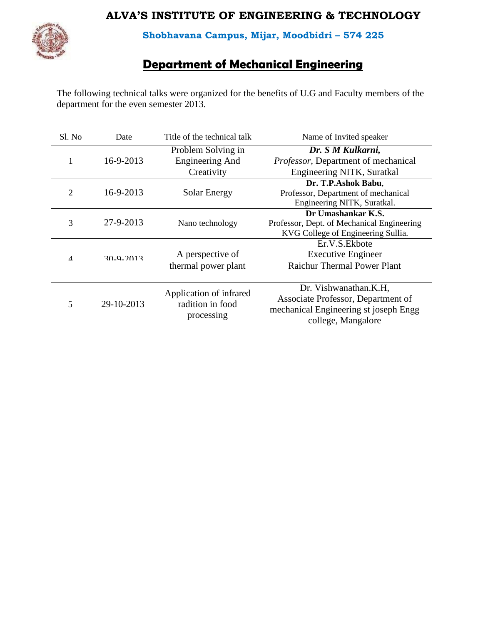## **ALVA'S INSTITUTE OF ENGINEERING & TECHNOLOGY**



**Shobhavana Campus, Mijar, Moodbidri – 574 225**

## **Department of Mechanical Engineering**

The following technical talks were organized for the benefits of U.G and Faculty members of the department for the even semester 2013.

| Sl. No         | Date            | Title of the technical talk                                | Name of Invited speaker                                                                                                    |
|----------------|-----------------|------------------------------------------------------------|----------------------------------------------------------------------------------------------------------------------------|
| 1              | 16-9-2013       | Problem Solving in<br><b>Engineering And</b><br>Creativity | Dr. S M Kulkarni,<br>Professor, Department of mechanical<br>Engineering NITK, Suratkal                                     |
| $\overline{2}$ | 16-9-2013       | <b>Solar Energy</b>                                        | Dr. T.P.Ashok Babu,<br>Professor, Department of mechanical<br>Engineering NITK, Suratkal.                                  |
| 3              | 27-9-2013       | Nano technology                                            | Dr Umashankar K.S.<br>Professor, Dept. of Mechanical Engineering<br>KVG College of Engineering Sullia.                     |
| $\Lambda$      | $30 - 9 - 2013$ | A perspective of<br>thermal power plant                    | Er.V.S.Ekbote<br><b>Executive Engineer</b><br><b>Raichur Thermal Power Plant</b>                                           |
| 5              | 29-10-2013      | Application of infrared<br>radition in food<br>processing  | Dr. Vishwanathan.K.H.<br>Associate Professor, Department of<br>mechanical Engineering st joseph Engg<br>college, Mangalore |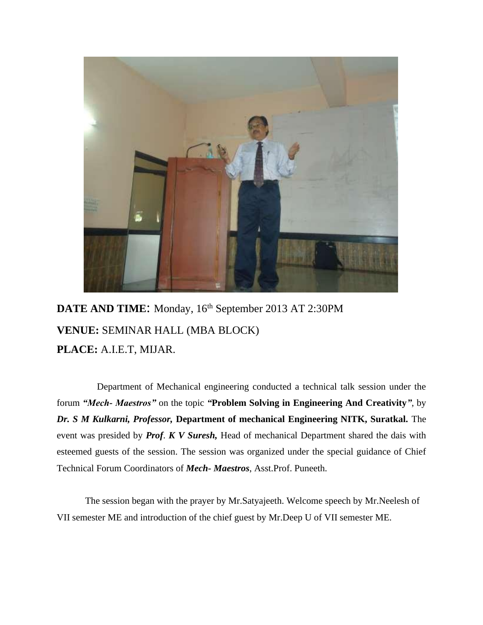

DATE AND TIME: Monday, 16<sup>th</sup> September 2013 AT 2:30PM **VENUE:** SEMINAR HALL (MBA BLOCK) **PLACE:** A.I.E.T, MIJAR.

Department of Mechanical engineering conducted a technical talk session under the forum *"Mech- Maestros"* on the topic *"***Problem Solving in Engineering And Creativity***"*, by *Dr. S M Kulkarni, Professor,* **Department of mechanical Engineering NITK, Suratkal.** The event was presided by *Prof*. *K V Suresh,* Head of mechanical Department shared the dais with esteemed guests of the session. The session was organized under the special guidance of Chief Technical Forum Coordinators of *Mech- Maestros*, Asst.Prof. Puneeth.

The session began with the prayer by Mr.Satyajeeth. Welcome speech by Mr.Neelesh of VII semester ME and introduction of the chief guest by Mr.Deep U of VII semester ME.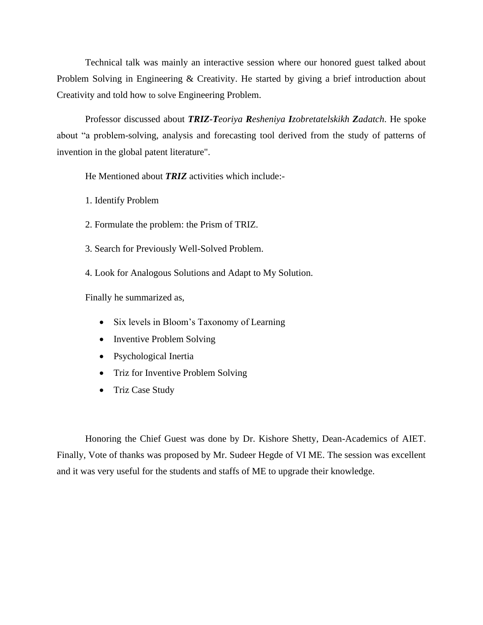Technical talk was mainly an interactive session where our honored guest talked about Problem Solving in Engineering & Creativity. He started by giving a brief introduction about Creativity and told how to solve Engineering Problem.

Professor discussed about *TRIZ-Teoriya Resheniya Izobretatelskikh Zadatch*. He spoke about "a problem-solving, analysis and forecasting tool derived from the study of patterns of invention in the global patent literature".

He Mentioned about *TRIZ* activities which include:-

1. Identify Problem

- 2. Formulate the problem: the Prism of TRIZ.
- 3. Search for Previously Well-Solved Problem.

4. Look for Analogous Solutions and Adapt to My Solution.

Finally he summarized as,

- Six levels in Bloom's Taxonomy of Learning
- Inventive Problem Solving
- Psychological Inertia
- Triz for Inventive Problem Solving
- Triz Case Study

Honoring the Chief Guest was done by Dr. Kishore Shetty, Dean-Academics of AIET. Finally, Vote of thanks was proposed by Mr. Sudeer Hegde of VI ME. The session was excellent and it was very useful for the students and staffs of ME to upgrade their knowledge.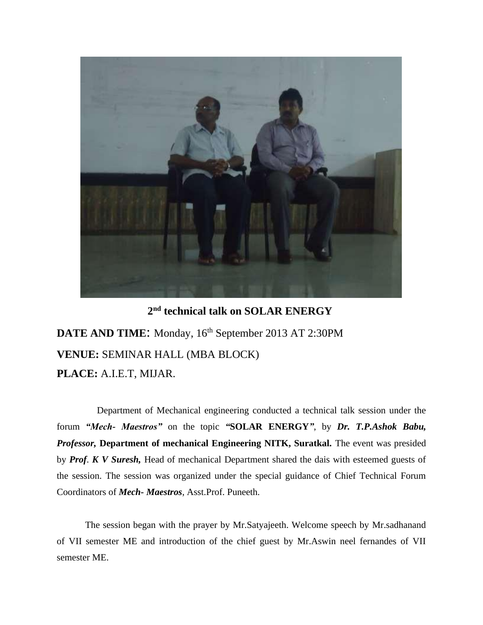

**2 nd technical talk on SOLAR ENERGY** 

DATE AND TIME: Monday, 16<sup>th</sup> September 2013 AT 2:30PM **VENUE:** SEMINAR HALL (MBA BLOCK) **PLACE:** A.I.E.T, MIJAR.

Department of Mechanical engineering conducted a technical talk session under the forum *"Mech- Maestros"* on the topic *"***SOLAR ENERGY***"*, by *Dr. T.P.Ashok Babu, Professor,* **Department of mechanical Engineering NITK, Suratkal.** The event was presided by *Prof*. *K V Suresh,* Head of mechanical Department shared the dais with esteemed guests of the session. The session was organized under the special guidance of Chief Technical Forum Coordinators of *Mech- Maestros*, Asst.Prof. Puneeth.

The session began with the prayer by Mr.Satyajeeth. Welcome speech by Mr.sadhanand of VII semester ME and introduction of the chief guest by Mr.Aswin neel fernandes of VII semester ME.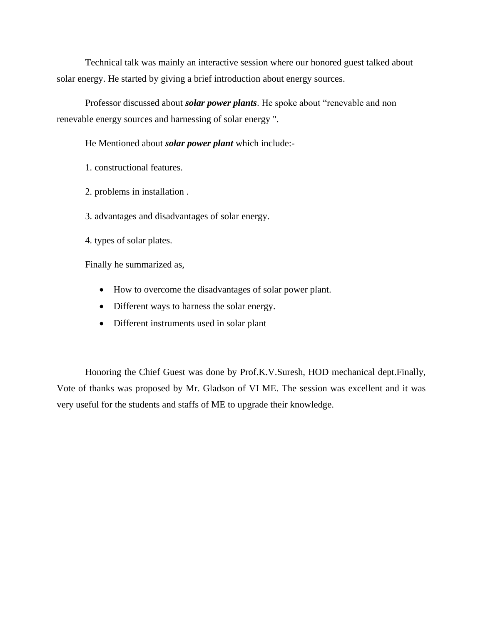Technical talk was mainly an interactive session where our honored guest talked about solar energy. He started by giving a brief introduction about energy sources.

Professor discussed about *solar power plants*. He spoke about "renevable and non renevable energy sources and harnessing of solar energy ".

He Mentioned about *solar power plant* which include:-

1. constructional features.

2. problems in installation .

3. advantages and disadvantages of solar energy.

4. types of solar plates.

Finally he summarized as,

- How to overcome the disadvantages of solar power plant.
- Different ways to harness the solar energy.
- Different instruments used in solar plant

Honoring the Chief Guest was done by Prof.K.V.Suresh, HOD mechanical dept.Finally, Vote of thanks was proposed by Mr. Gladson of VI ME. The session was excellent and it was very useful for the students and staffs of ME to upgrade their knowledge.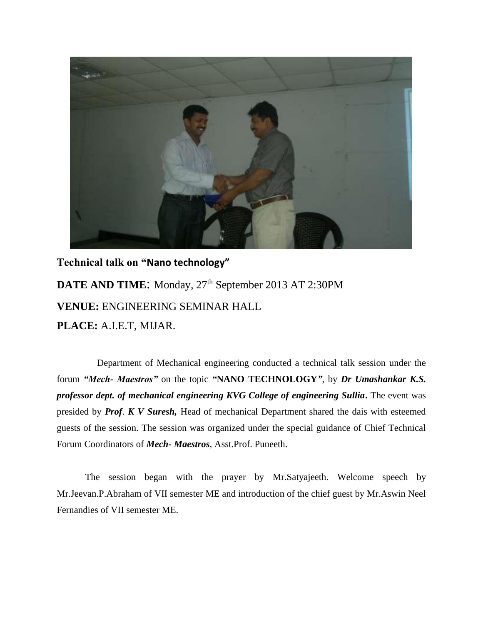

**Technical talk on "Nano technology" DATE AND TIME:** Monday,  $27<sup>th</sup>$  September 2013 AT 2:30PM **VENUE:** ENGINEERING SEMINAR HALL **PLACE:** A.I.E.T, MIJAR.

Department of Mechanical engineering conducted a technical talk session under the forum *"Mech- Maestros"* on the topic *"***NANO TECHNOLOGY***"*, by *Dr Umashankar K.S. professor dept. of mechanical engineering KVG College of engineering Sullia***.** The event was presided by *Prof*. *K V Suresh,* Head of mechanical Department shared the dais with esteemed guests of the session. The session was organized under the special guidance of Chief Technical Forum Coordinators of *Mech- Maestros*, Asst.Prof. Puneeth.

The session began with the prayer by Mr.Satyajeeth. Welcome speech by Mr.Jeevan.P.Abraham of VII semester ME and introduction of the chief guest by Mr.Aswin Neel Fernandies of VII semester ME.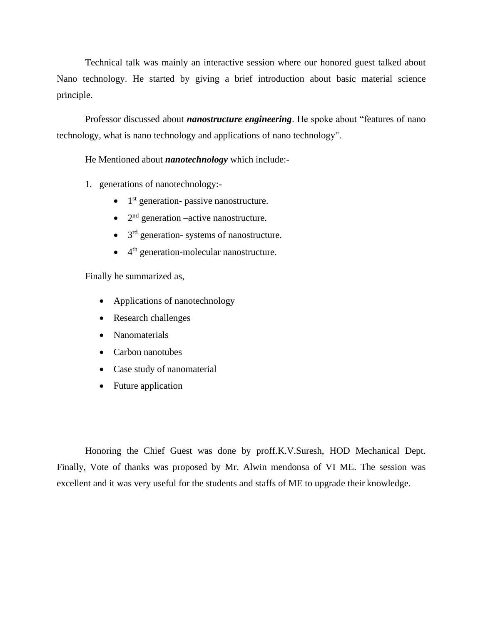Technical talk was mainly an interactive session where our honored guest talked about Nano technology. He started by giving a brief introduction about basic material science principle.

Professor discussed about *nanostructure engineering*. He spoke about "features of nano technology, what is nano technology and applications of nano technology".

He Mentioned about *nanotechnology* which include:-

- 1. generations of nanotechnology:-
	- $\bullet$  1<sup>st</sup> generation- passive nanostructure.
	- $\bullet$  2<sup>nd</sup> generation –active nanostructure.
	- $\bullet$  3<sup>rd</sup> generation- systems of nanostructure.
	- $\bullet$  4<sup>th</sup> generation-molecular nanostructure.

Finally he summarized as,

- Applications of nanotechnology
- Research challenges
- Nanomaterials
- Carbon nanotubes
- Case study of nanomaterial
- Future application

Honoring the Chief Guest was done by proff.K.V.Suresh, HOD Mechanical Dept. Finally, Vote of thanks was proposed by Mr. Alwin mendonsa of VI ME. The session was excellent and it was very useful for the students and staffs of ME to upgrade their knowledge.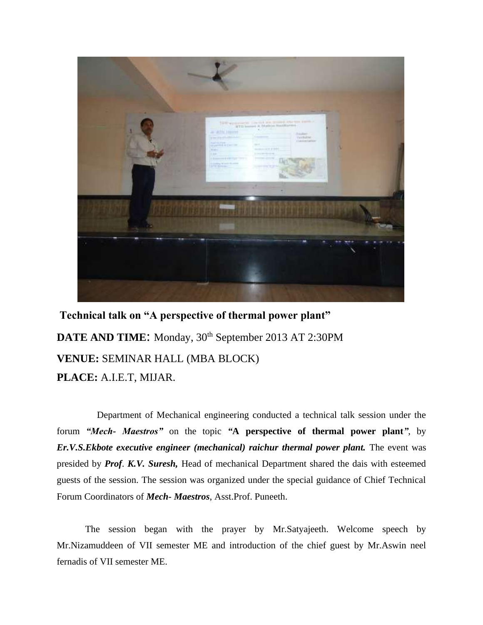

**Technical talk on "A perspective of thermal power plant"**  DATE AND TIME: Monday,  $30<sup>th</sup>$  September 2013 AT 2:30PM **VENUE:** SEMINAR HALL (MBA BLOCK) **PLACE:** A.I.E.T, MIJAR.

Department of Mechanical engineering conducted a technical talk session under the forum *"Mech- Maestros"* on the topic *"***A perspective of thermal power plant***"*, by *Er.V.S.Ekbote executive engineer (mechanical) raichur thermal power plant.* The event was presided by *Prof*. *K.V. Suresh,* Head of mechanical Department shared the dais with esteemed guests of the session. The session was organized under the special guidance of Chief Technical Forum Coordinators of *Mech- Maestros*, Asst.Prof. Puneeth.

The session began with the prayer by Mr.Satyajeeth. Welcome speech by Mr.Nizamuddeen of VII semester ME and introduction of the chief guest by Mr.Aswin neel fernadis of VII semester ME.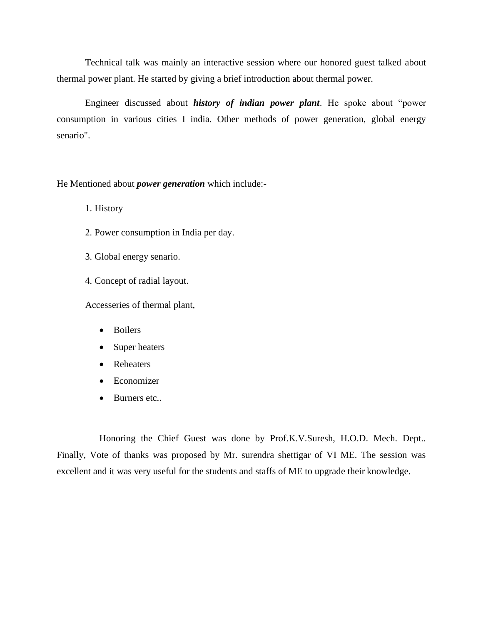Technical talk was mainly an interactive session where our honored guest talked about thermal power plant. He started by giving a brief introduction about thermal power.

Engineer discussed about *history of indian power plant*. He spoke about "power consumption in various cities I india. Other methods of power generation, global energy senario".

He Mentioned about *power generation* which include:-

1. History

- 2. Power consumption in India per day.
- 3. Global energy senario.
- 4. Concept of radial layout.

Accesseries of thermal plant,

- Boilers
- Super heaters
- Reheaters
- Economizer
- Burners etc..

Honoring the Chief Guest was done by Prof.K.V.Suresh, H.O.D. Mech. Dept.. Finally, Vote of thanks was proposed by Mr. surendra shettigar of VI ME. The session was excellent and it was very useful for the students and staffs of ME to upgrade their knowledge.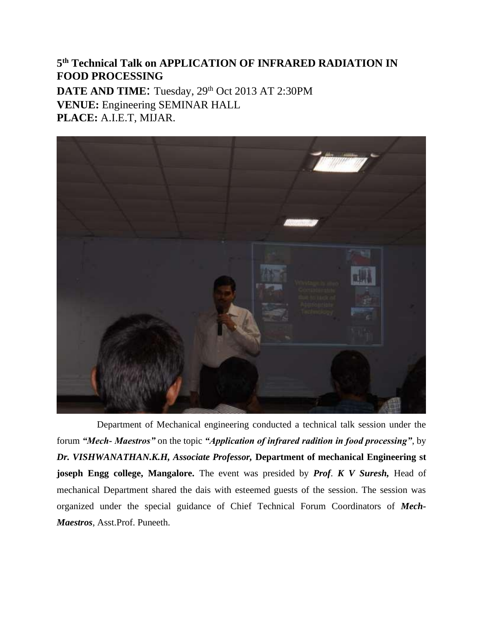**5 th Technical Talk on APPLICATION OF INFRARED RADIATION IN FOOD PROCESSING DATE AND TIME:** Tuesday, 29<sup>th</sup> Oct 2013 AT 2:30PM **VENUE:** Engineering SEMINAR HALL **PLACE:** A.I.E.T, MIJAR.



Department of Mechanical engineering conducted a technical talk session under the forum *"Mech- Maestros"* on the topic *"Application of infrared radition in food processing"*, by *Dr. VISHWANATHAN.K.H, Associate Professor,* **Department of mechanical Engineering st joseph Engg college, Mangalore.** The event was presided by *Prof*. *K V Suresh,* Head of mechanical Department shared the dais with esteemed guests of the session. The session was organized under the special guidance of Chief Technical Forum Coordinators of *Mech-Maestros*, Asst.Prof. Puneeth.